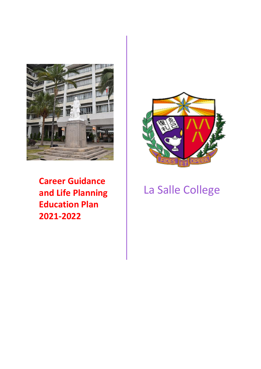

**Career Guidance and Life Planning Education Plan 2021-2022**



# La Salle College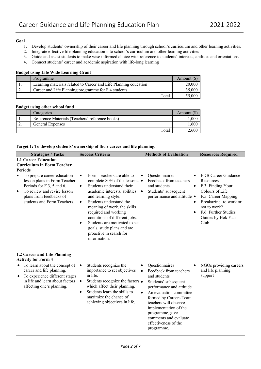#### **Goal**

- 1. Develop students' ownership of their career and life planning through school's curriculum and other learning activities.
- 2. Integrate effective life planning education into school's curriculum and other learning activities
- 3. Guide and assist students to make wise informed choice with reference to students' interests, abilities and orientations
- 4. Connect students' career and academic aspiration with life-long learning

# **Budget using Life Wide Learning Grant**

| Programme                                                        | Amount $(S)$ |
|------------------------------------------------------------------|--------------|
| Learning materials related to Career and Life Planning education | 20,000       |
| Career and Life Planning programme for F.4 students              | 35,000       |
| Total                                                            | 55,000       |

# **Budget using other school fund**

| Categories                                      | Amount |
|-------------------------------------------------|--------|
| Reference Materials (Teachers' reference books) | .000   |
| <b>General Expenses</b>                         | .600   |
| Total                                           | 2.600  |

#### **Target 1: To develop students' ownership of their career and life planning.**

| <b>Strategies / Tasks</b>                                                                                                                                                                                                                                                                         | <b>Success Criteria</b>                                                                                                                                                                                                                                                                                                                                                                                                                   | <b>Methods of Evaluation</b>                                                                                                                                                                                                                                                                                                    | <b>Resources Required</b>                                                                                                                                                                                                                    |
|---------------------------------------------------------------------------------------------------------------------------------------------------------------------------------------------------------------------------------------------------------------------------------------------------|-------------------------------------------------------------------------------------------------------------------------------------------------------------------------------------------------------------------------------------------------------------------------------------------------------------------------------------------------------------------------------------------------------------------------------------------|---------------------------------------------------------------------------------------------------------------------------------------------------------------------------------------------------------------------------------------------------------------------------------------------------------------------------------|----------------------------------------------------------------------------------------------------------------------------------------------------------------------------------------------------------------------------------------------|
| <b>1.1 Career Education</b><br><b>Curriculum in Form Teacher</b><br><b>Periods</b><br>To prepare career education<br>$\bullet$<br>lesson plans in Form Teacher<br>Periods for F.3, 5 and 6.<br>To review and revise lesson<br>$\bullet$<br>plans from feedbacks of<br>students and Form Teachers. | Form Teachers are able to<br>$\bullet$<br>complete 80% of the lessons. $\bullet$<br>Students understand their<br>$\bullet$<br>academic interests, abilities<br>and learning style.<br>Students understand the<br>$\bullet$<br>meaning of work, the skills<br>required and working<br>conditions of different jobs.<br>Students are motivated to set<br>$\bullet$<br>goals, study plans and are<br>proactive in search for<br>information. | Questionnaires<br>$\bullet$<br>Feedback from teachers<br>and students<br>Students' subsequent<br>$\bullet$<br>performance and attitude •                                                                                                                                                                                        | <b>EDB</b> Career Guidance<br>$\bullet$<br>Resources<br>F.3: Finding Your<br>$\bullet$<br>Colours of Life<br>F.5: Career Mapping<br>Breakazine! to work or<br>$\bullet$<br>not to work?<br>F.6: Further Studies<br>Guides by Hok Yau<br>Club |
| 1.2 Career and Life Planning<br><b>Activity for Form 4</b><br>To learn about the concept of<br>career and life planning.<br>To experience different stages<br>$\bullet$<br>in life and learn about factors<br>affecting one's planning.                                                           | Students recognize the<br>$\bullet$<br>importance to set objectives<br>in life.<br>Students recognize the factors $\bullet$<br>lo<br>which affect their planning.<br>Students learn the skills to<br>$\bullet$<br>maximize the chance of<br>achieving objectives in life.                                                                                                                                                                 | Questionnaires<br>Feedback from teachers<br>$\bullet$<br>and students<br>Students' subsequent<br>performance and attitude<br>An evaluation committee<br>$\bullet$<br>formed by Careers Team<br>teachers will observe<br>implementation of the<br>programme, give<br>comments and evaluate<br>effectiveness of the<br>programme. | NGOs providing careers<br>and life planning<br>support                                                                                                                                                                                       |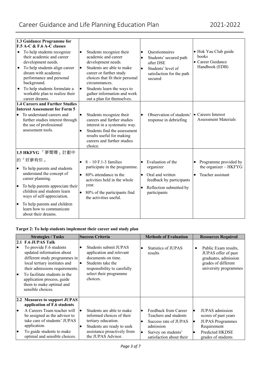|                                     | 1.3 Guidance Programme for                                                                                                                                                                                                                                           |                        |                                                                                                                                                                                                                                                                               |           |                                                                                                                     |           |                                                                      |
|-------------------------------------|----------------------------------------------------------------------------------------------------------------------------------------------------------------------------------------------------------------------------------------------------------------------|------------------------|-------------------------------------------------------------------------------------------------------------------------------------------------------------------------------------------------------------------------------------------------------------------------------|-----------|---------------------------------------------------------------------------------------------------------------------|-----------|----------------------------------------------------------------------|
|                                     | $F.5 A-C & F.6 A-C$ classes                                                                                                                                                                                                                                          |                        |                                                                                                                                                                                                                                                                               |           |                                                                                                                     |           |                                                                      |
| $\bullet$<br>$\bullet$<br>$\bullet$ | To help students recognize<br>their academic and career<br>development needs.<br>To help students align career<br>dream with academic<br>performance and personal<br>background.<br>To help students formulate a<br>workable plan to realize their<br>career dreams. | $\bullet$<br>$\bullet$ | Students recognize their<br>academic and career<br>development needs.<br>Students are able to make<br>career or further study<br>choices that fit their personal<br>circumstances.<br>Students learn the ways to<br>gather information and work<br>out a plan for themselves. | $\bullet$ | Questionnaires<br>Students' secured path<br>after DSE<br>Students' level of<br>satisfaction for the path<br>secured |           | • Hok Yau Club guide<br>books<br>• Career Guidance<br>Handbook (EDB) |
|                                     | <b>1.4 Careers and Further Studies</b>                                                                                                                                                                                                                               |                        |                                                                                                                                                                                                                                                                               |           |                                                                                                                     |           |                                                                      |
|                                     | <b>Interest Assessment for Form 5</b><br>To understand careers and<br>further studies interest through<br>the use of professional<br>assessment tools.                                                                                                               | $\bullet$              | Students recognize their<br>careers and further studies<br>interest in a systematic way.<br>Students find the assessment<br>results useful for making<br>careers and further studies<br>choice.                                                                               |           | Observation of students'<br>response in debriefing                                                                  |           | • Careers Interest<br><b>Assessment Materials</b>                    |
|                                     | 1.5 HKFYG「夢嚮導」計劃中                                                                                                                                                                                                                                                    |                        |                                                                                                                                                                                                                                                                               |           |                                                                                                                     |           |                                                                      |
|                                     | 的「好夢有你」                                                                                                                                                                                                                                                              | $\bullet$              | $8 - 10$ F.1-3 families<br>participate in the programme.                                                                                                                                                                                                                      |           | Evaluation of the<br>organizer                                                                                      |           | Programme provided by<br>the organizer - HKFYG                       |
| $\bullet$                           | To help parents and students<br>understand the concept of<br>career planning.                                                                                                                                                                                        | $\bullet$              | 80% attendance in the<br>activities held in the whole                                                                                                                                                                                                                         | $\bullet$ | Oral and written<br>feedback by participants                                                                        | $\bullet$ | Teacher assistant                                                    |
| $\bullet$                           | To help parents appreciate their<br>children and students learn<br>ways of self-appreciation.                                                                                                                                                                        |                        | year.<br>80% of the participants find<br>the activities useful.                                                                                                                                                                                                               | $\bullet$ | Reflection submitted by<br>participants                                                                             |           |                                                                      |
| lo                                  | To help parents and children<br>learn how to communicate<br>about their dreams.                                                                                                                                                                                      |                        |                                                                                                                                                                                                                                                                               |           |                                                                                                                     |           |                                                                      |

# **Target 2: To help students implement their career and study plan**

|                 | <b>Strategies / Tasks</b>                                                                                                                                                                                                                                                                      | <b>Success Criteria</b>                                                                                                                                                             |           | <b>Methods of Evaluation</b>                                                        |           | <b>Resources Required</b>                                                                                           |
|-----------------|------------------------------------------------------------------------------------------------------------------------------------------------------------------------------------------------------------------------------------------------------------------------------------------------|-------------------------------------------------------------------------------------------------------------------------------------------------------------------------------------|-----------|-------------------------------------------------------------------------------------|-----------|---------------------------------------------------------------------------------------------------------------------|
| $\bullet$<br>I۰ | 2.1 F.6 JUPAS Talk<br>To provide F.6 students<br>updated information about<br>different study programmes in<br>local tertiary institutes and<br>their admissions requirements.<br>To facilitate students in the<br>application process, guide<br>them to make optimal and<br>sensible choices. | Students submit JUPAS<br>$\bullet$<br>application and relevant<br>documents on time.<br>Students take the<br>٠<br>responsibility to carefully<br>select their programme<br>choices. | $\bullet$ | Statistics of JUPAS<br>results                                                      | $\bullet$ | Public Exam results,<br>JUPAS offer of past<br>graduates, admission<br>grades of different<br>university programmes |
|                 | 2.2 Measures to support JUPAS<br>application of F.6 students                                                                                                                                                                                                                                   |                                                                                                                                                                                     |           |                                                                                     |           |                                                                                                                     |
| lo              | A Careers Team teacher will<br>be assigned as the advisor to<br>take care of students' JUPAS<br>application.                                                                                                                                                                                   | Students are able to make<br>$\bullet$<br>informed choices of their<br>tertiary education.<br>Students are ready to seek<br>٠                                                       | $\bullet$ | Feedback from Career<br>Teachers and students<br>Success rate of JUPAS<br>admission | o<br>lo   | JUPAS admission<br>scores of past years<br><b>JUPAS</b> Programmes<br>Requirement                                   |
| $\bullet$       | To guide students to make<br>optimal and sensible choices.                                                                                                                                                                                                                                     | assistance proactively from<br>the JUPAS Advisor.                                                                                                                                   | $\bullet$ | Survey on students'<br>satisfaction about their                                     |           | Predicted HKDSE<br>grades of students                                                                               |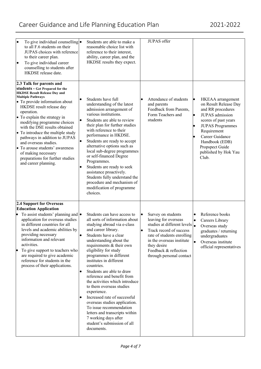# Career Guidance and Life Planning Education Plan 2021-2022

| To give individual counselling $\bullet$<br>$\bullet$<br>to all F.6 students on their<br>JUPAS choices with reference<br>to their career plan.<br>To give individual career<br>$\bullet$<br>counselling to students after<br>HKDSE release date.                                                                                                                                                                                                                                                                                | Students are able to make a<br>reasonable choice list with<br>reference to their interest,<br>ability, career plan, and the<br>HKDSE results they expect.                                                                                                                                                                                                                                                                                                                                                                                                                                                                                                                          | JUPAS offer                                                                                                                                                                                                                                         |                                                                                                                                                                                                                                                     |
|---------------------------------------------------------------------------------------------------------------------------------------------------------------------------------------------------------------------------------------------------------------------------------------------------------------------------------------------------------------------------------------------------------------------------------------------------------------------------------------------------------------------------------|------------------------------------------------------------------------------------------------------------------------------------------------------------------------------------------------------------------------------------------------------------------------------------------------------------------------------------------------------------------------------------------------------------------------------------------------------------------------------------------------------------------------------------------------------------------------------------------------------------------------------------------------------------------------------------|-----------------------------------------------------------------------------------------------------------------------------------------------------------------------------------------------------------------------------------------------------|-----------------------------------------------------------------------------------------------------------------------------------------------------------------------------------------------------------------------------------------------------|
| 2.3 Talk for parents and<br>students - Get Prepared for the<br><b>HKDSE Result Release Day and</b><br><b>Multiple Pathways</b><br>• To provide information about<br>HKDSE result release day<br>operation.<br>• To explain the strategy in<br>modifying programme choices<br>with the DSE results obtained<br>• To introduce the multiple study<br>pathways in addition to JUPAS<br>and overseas studies.<br>• To arouse students' awareness<br>of making necessary<br>preparations for further studies<br>and career planning. | Students have full<br>$\bullet$<br>understanding of the latest<br>admission arrangement of<br>various institutions.<br>$\bullet$<br>Students are able to review<br>their plan for further studies<br>with reference to their<br>performance in HKDSE.<br>$\bullet$<br>Students are ready to accept<br>alternative options such as<br>local sub-degree programmes<br>or self-financed Degree<br>Programmes.<br>Students are ready to seek<br>$\bullet$<br>assistance proactively.<br>Students fully understand the<br>procedure and mechanism of<br>modification of programme<br>choices.                                                                                           | Attendance of students<br>and parents<br>Feedback from Parents,<br>Form Teachers and<br>students                                                                                                                                                    | lo<br>HKEAA arrangement<br>on Result Release Day<br>and RR procedures<br>JUPAS admission<br>scores of past years<br><b>JUPAS Programmes</b><br>Requirement<br>Career Guidance<br>Handbook (EDB)<br>Propspect Guide<br>published by Hok Yau<br>Club. |
| 2.4 Support for Overseas<br><b>Education Application</b><br>To assist students' planning and $\bullet$<br>application for overseas studies<br>in different countries for all<br>levels and academic abilities by<br>providing necessary<br>information and relevant<br>activities.<br>To give support to teachers who<br>are required to give academic<br>reference for students in the<br>process of their applications.                                                                                                       | Students can have access to<br>all sorts of information about<br>studying abroad via e-class<br>and career library.<br>Students have a clear<br>$\bullet$<br>understanding about the<br>requirements & their own<br>eligibility for study<br>programmes in different<br>institutes in different<br>countries.<br>Students are able to draw<br>$\bullet$<br>reference and benefit from<br>the activities which introduce<br>to them overseas studies<br>experience.<br>Increased rate of successful<br>$\bullet$<br>overseas studies application.<br>To issue recommendation<br>letters and transcripts within<br>7 working days after<br>student's submission of all<br>documents. | Survey on students<br>$\bullet$<br>leaving for overseas<br>studies at different levels  .<br>Track record of success<br>rate of students enrolling<br>in the overseas institute<br>they desire<br>Feedback & reflection<br>through personal contact | Reference books<br>$\bullet$<br>$\bullet$<br>Careers Library<br>Overseas study<br>graduates / returning<br>undergraduates<br>$\bullet$<br>Overseas institute<br>official representatives                                                            |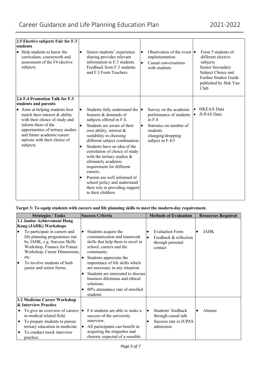| 2.5 Elective subjects Fair for F.3<br>students<br>• Help students to know the<br>curriculum, coursework and<br>assessment of the F4 elective<br>subjects.                                                                                                         | $\bullet$                                        | Senior students' experience<br>sharing provides relevant<br>information to F.3 students.<br>Feedback from F.3 students<br>and F.3 Form Teachers.                                                                                                                                                                                                                                                                                                                                                         | $\bullet$ | Observation of the event $\bullet$<br>implementation<br>Casual conversations<br>with students                                                 |                 | Form 5 students of<br>different elective<br>subjects<br>Senior Secondary<br>Subject Choice and<br><b>Further Studies Guide</b><br>published by Hok Yau<br>Club |
|-------------------------------------------------------------------------------------------------------------------------------------------------------------------------------------------------------------------------------------------------------------------|--------------------------------------------------|----------------------------------------------------------------------------------------------------------------------------------------------------------------------------------------------------------------------------------------------------------------------------------------------------------------------------------------------------------------------------------------------------------------------------------------------------------------------------------------------------------|-----------|-----------------------------------------------------------------------------------------------------------------------------------------------|-----------------|----------------------------------------------------------------------------------------------------------------------------------------------------------------|
| 2.6 F.4 Promotion Talk for F.3                                                                                                                                                                                                                                    |                                                  |                                                                                                                                                                                                                                                                                                                                                                                                                                                                                                          |           |                                                                                                                                               |                 |                                                                                                                                                                |
| students and parents<br>• Aims at helping students best<br>match their interest & ability<br>with their choice of study and<br>inform them of the<br>opportunities of tertiary studies<br>and future academic/career<br>options with their choice of<br>subjects. | $\bullet$<br>$\bullet$<br>$\bullet$<br>$\bullet$ | Students fully understand the  <br>features & demands of<br>subjects offered in F.4.<br>Students are aware of their<br>own ability, interest &<br>suitability in choosing<br>different subject combination.<br>Students have an idea of the<br>correlation of choice of study<br>with the tertiary studies $\&$<br>ultimately academic<br>requirement for different<br>careers.<br>Parents are well informed of<br>school policy and understand<br>their role in providing support<br>to their children. | $\bullet$ | Survey on the academic<br>performance of students<br>in $F.4$<br>Statistics on number of<br>students<br>changing/dropping<br>subject in F.4/5 | l•<br>$\bullet$ | <b>HKEAA</b> Data<br><b>JUPAS Data</b>                                                                                                                         |

# **Target 3: To equip students with careers and life planning skills to meet the modern-day requirement.**

| <b>Strategies / Tasks</b><br>3.1 Junior Achievement Hong<br><b>Kong (JAHK) Workshops</b><br>To participate in careers and<br>$\bullet$<br>life planning programmes run<br>by JAHK, e.g. Success Skills<br>Workshop, Finance for Future | <b>Success Criteria</b><br>Students acquire the<br>$\bullet$<br>communication and teamwork<br>skills that help them to excel in<br>school, careers and the                                                                                                   | <b>Methods of Evaluation</b><br><b>Evaluation Form</b><br>Feedback & reflection<br>through personal<br>contact | <b>Resources Required</b><br>JAHK |
|----------------------------------------------------------------------------------------------------------------------------------------------------------------------------------------------------------------------------------------|--------------------------------------------------------------------------------------------------------------------------------------------------------------------------------------------------------------------------------------------------------------|----------------------------------------------------------------------------------------------------------------|-----------------------------------|
| Workshop, Career Dimensions,<br>etc.<br>To involve students of both<br>$\bullet$<br>junior and senior forms.                                                                                                                           | community.<br>Students appreciate the<br>importance of life skills which<br>are necessary in any situation.<br>Students are interested to discuss<br>$\bullet$<br>business dilemmas and ethical<br>solutions.<br>80% attendance rate of enrolled<br>students |                                                                                                                |                                   |
| 3.2 Medicine Career Workshop<br>& Interview Practice<br>To give an overview of careers<br>in medical related field.<br>To prepare students to pursue<br>٠<br>tertiary education in medicine.<br>To conduct mock interview<br>practice. | F.6 students are able to make a<br>$\bullet$<br>success of the university<br>interview.<br>All participants can benefit in<br>$\bullet$<br>acquiring the etiquettes and<br>rhetoric expected of a sensible                                                   | Students' feedback<br>through causal talk<br>Success rate in JUPAS<br>admission                                | Alumni                            |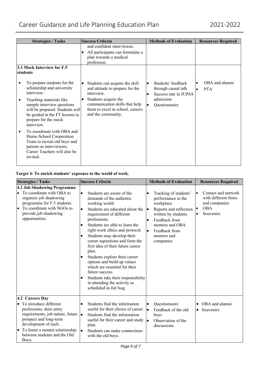|           | <b>Strategies / Tasks</b>                                                                                                                                                                                                                   | <b>Success Criteria</b>                                                                                                                                                                                          | <b>Methods of Evaluation</b>                                                                                               | <b>Resources Required</b>                              |
|-----------|---------------------------------------------------------------------------------------------------------------------------------------------------------------------------------------------------------------------------------------------|------------------------------------------------------------------------------------------------------------------------------------------------------------------------------------------------------------------|----------------------------------------------------------------------------------------------------------------------------|--------------------------------------------------------|
|           | 3.3 Mock Interview for F.5<br>students                                                                                                                                                                                                      | and confident interviewee.<br>All participants can formulate a<br>plan towards a medical<br>profession.                                                                                                          |                                                                                                                            |                                                        |
| ٠         | To prepare students for the<br>scholarship and university<br>interview.<br>Teaching materials like<br>sample interview questions<br>will be prepared. Students will<br>be guided in the FT lessons to<br>prepare for the mock<br>interview. | Students can acquire the skill<br>and attitude to prepare for the<br>interview.<br>Students acquire the<br>$\bullet$<br>communication skills that help<br>them to excel in school, careers<br>and the community. | Students' feedback<br>$\bullet$<br>through causal talk<br>Success rate in JUPAS<br>$\bullet$<br>admission<br>Questionnaire | OBA and alumni<br>$\bullet$<br><b>PTA</b><br>$\bullet$ |
| $\bullet$ | To coordinate with OBA and<br>Home-School Cooperation<br>Team to recruit old boys and<br>parents as interviewers.<br>Career Teachers will also be<br>invited.                                                                               |                                                                                                                                                                                                                  |                                                                                                                            |                                                        |

# **Target 4: To enrich students' exposure to the world of work.**

| <b>Strategies / Tasks</b>                                                                                                                                                                                                                         | <b>Success Criteria</b>                                                                                                                                                                                                                                                                                                                                                                                                                                                                                                                                                                                           | <b>Methods of Evaluation</b>                                                                                                                                                                                                      | <b>Resources Required</b>                                                                                                      |
|---------------------------------------------------------------------------------------------------------------------------------------------------------------------------------------------------------------------------------------------------|-------------------------------------------------------------------------------------------------------------------------------------------------------------------------------------------------------------------------------------------------------------------------------------------------------------------------------------------------------------------------------------------------------------------------------------------------------------------------------------------------------------------------------------------------------------------------------------------------------------------|-----------------------------------------------------------------------------------------------------------------------------------------------------------------------------------------------------------------------------------|--------------------------------------------------------------------------------------------------------------------------------|
| 4.1 Job Shadowing Programme<br>To coordinate with OBA to<br>organize job shadowing<br>programme for F.5 students.<br>To coordinate with NGOs to<br>provide job shadowing<br>opportunities.                                                        | Students are aware of the<br>demands of the authentic<br>working world.<br>Students are educated about the<br>$\bullet$<br>requirement of different<br>professions.<br>Students are able to learn the<br>$\bullet$<br>right work ethics and protocol.<br>Students may develop their<br>$\bullet$<br>career aspirations and form the<br>first idea of their future career<br>plan.<br>Students explore their career<br>options and build up values<br>which are essential for their<br>future success.<br>Students take their responsibility<br>$\bullet$<br>in attending the activity as<br>scheduled in Jul/Aug. | Tracking of students'<br>performance in the<br>workplace<br>Reports and reflection<br>$\bullet$<br>written by students<br>Feedback from<br>$\bullet$<br>mentors and OBA<br>Feedback from<br>$\bullet$<br>mentors and<br>companies | Contact and network<br>$\bullet$<br>with different firms<br>and companies<br><b>OBA</b><br>$\bullet$<br>Souvenirs<br>$\bullet$ |
| 4.2 Careers Day<br>$\bullet$ To introduce different<br>professions, their entry<br>requirements, job nature, future<br>prospect and long-term<br>development of each.<br>To foster a mentor relationship<br>between students and the Old<br>Boys. | Students find the information<br>$\bullet$<br>useful for their choice of career. $\bullet$<br>Students find the information<br>$\bullet$<br>useful for their career and study<br>plan.<br>Students can make connections<br>$\bullet$<br>with the old boys.                                                                                                                                                                                                                                                                                                                                                        | Questionnaire<br>$\bullet$<br>Feedback of the old<br>boys<br>Observation of the<br>le.<br>discussions                                                                                                                             | OBA and alumni<br>$\bullet$<br>Souvenirs<br>$\bullet$                                                                          |